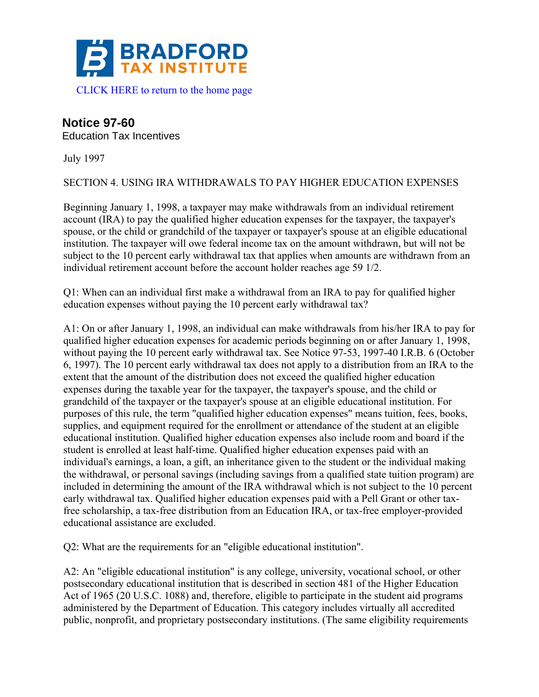

## **Notice 97-60**

Education Tax Incentives

July 1997

SECTION 4. USING IRA WITHDRAWALS TO PAY HIGHER EDUCATION EXPENSES

Beginning January 1, 1998, a taxpayer may make withdrawals from an individual retirement account (IRA) to pay the qualified higher education expenses for the taxpayer, the taxpayer's spouse, or the child or grandchild of the taxpayer or taxpayer's spouse at an eligible educational institution. The taxpayer will owe federal income tax on the amount withdrawn, but will not be subject to the 10 percent early withdrawal tax that applies when amounts are withdrawn from an individual retirement account before the account holder reaches age 59 1/2.

Q1: When can an individual first make a withdrawal from an IRA to pay for qualified higher education expenses without paying the 10 percent early withdrawal tax?

A1: On or after January 1, 1998, an individual can make withdrawals from his/her IRA to pay for qualified higher education expenses for academic periods beginning on or after January 1, 1998, without paying the 10 percent early withdrawal tax. See Notice 97-53, 1997-40 I.R.B. 6 (October 6, 1997). The 10 percent early withdrawal tax does not apply to a distribution from an IRA to the extent that the amount of the distribution does not exceed the qualified higher education expenses during the taxable year for the taxpayer, the taxpayer's spouse, and the child or grandchild of the taxpayer or the taxpayer's spouse at an eligible educational institution. For purposes of this rule, the term "qualified higher education expenses" means tuition, fees, books, supplies, and equipment required for the enrollment or attendance of the student at an eligible educational institution. Qualified higher education expenses also include room and board if the student is enrolled at least half-time. Qualified higher education expenses paid with an individual's earnings, a loan, a gift, an inheritance given to the student or the individual making the withdrawal, or personal savings (including savings from a qualified state tuition program) are included in determining the amount of the IRA withdrawal which is not subject to the 10 percent early withdrawal tax. Qualified higher education expenses paid with a Pell Grant or other taxfree scholarship, a tax-free distribution from an Education IRA, or tax-free employer-provided educational assistance are excluded.

Q2: What are the requirements for an "eligible educational institution".

A2: An "eligible educational institution" is any college, university, vocational school, or other postsecondary educational institution that is described in section 481 of the Higher Education Act of 1965 (20 U.S.C. 1088) and, therefore, eligible to participate in the student aid programs administered by the Department of Education. This category includes virtually all accredited public, nonprofit, and proprietary postsecondary institutions. (The same eligibility requirements